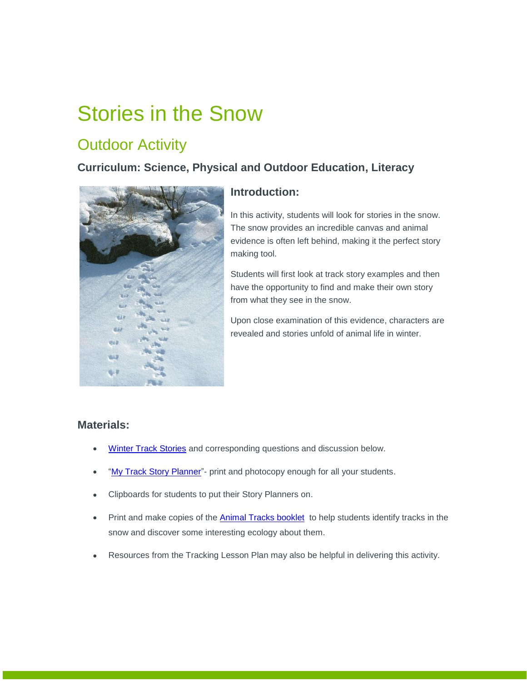# Stories in the Snow

## **Outdoor Activity**

## **Curriculum: Science, Physical and Outdoor Education, Literacy**



## **Introduction:**

In this activity, students will look for stories in the snow. The snow provides an incredible canvas and animal evidence is often left behind, making it the perfect story making tool.

Students will first look at track story examples and then have the opportunity to find and make their own story from what they see in the snow.

Upon close examination of this evidence, characters are revealed and stories unfold of animal life in winter.

## **Materials:**

- . [Winter Track Stories](https://albertaparks.ca/media/6496604/track-stories_appendix.pdf) and corresponding questions and discussion below.
- ["My Track Story Planner"](https://albertaparks.ca/media/6496606/my-track-storyboard.pdf) print and photocopy enough for all your students.
- Clipboards for students to put their Story Planners on.
- Print and make copies of the [Animal Tracks booklet](https://www.albertaparks.ca/media/6496571/2020-animal-tracks-booklet.pdf) to help students identify tracks in the snow and discover some interesting ecology about them.
- Resources from the Tracking Lesson Plan may also be helpful in delivering this activity.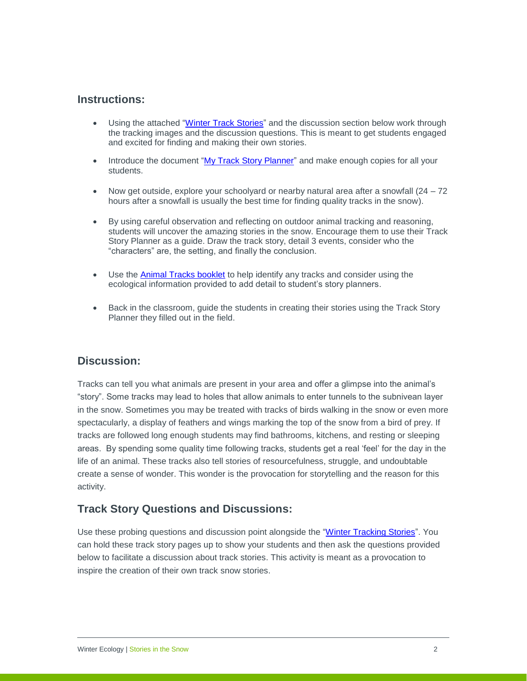## **Instructions:**

- Using the attached ["Winter Track Stories"](https://albertaparks.ca/media/6496604/track-stories_appendix.pdf) and the discussion section below work through the tracking images and the discussion questions. This is meant to get students engaged and excited for finding and making their own stories.
- Introduce the document ["My Track Story Planner"](https://albertaparks.ca/media/6496606/my-track-storyboard.pdf) and make enough copies for all your students.
- Now get outside, explore your schoolyard or nearby natural area after a snowfall  $(24 72)$ hours after a snowfall is usually the best time for finding quality tracks in the snow).
- By using careful observation and reflecting on outdoor animal tracking and reasoning, students will uncover the amazing stories in the snow. Encourage them to use their Track Story Planner as a guide. Draw the track story, detail 3 events, consider who the "characters" are, the setting, and finally the conclusion.
- Use the [Animal Tracks booklet](https://www.albertaparks.ca/media/6496571/2020-animal-tracks-booklet.pdf) to help identify any tracks and consider using the ecological information provided to add detail to student's story planners.
- Back in the classroom, guide the students in creating their stories using the Track Story Planner they filled out in the field.

## **Discussion:**

Tracks can tell you what animals are present in your area and offer a glimpse into the animal's "story". Some tracks may lead to holes that allow animals to enter tunnels to the subnivean layer in the snow. Sometimes you may be treated with tracks of birds walking in the snow or even more spectacularly, a display of feathers and wings marking the top of the snow from a bird of prey. If tracks are followed long enough students may find bathrooms, kitchens, and resting or sleeping areas. By spending some quality time following tracks, students get a real 'feel' for the day in the life of an animal. These tracks also tell stories of resourcefulness, struggle, and undoubtable create a sense of wonder. This wonder is the provocation for storytelling and the reason for this activity.

## **Track Story Questions and Discussions:**

Use these probing questions and discussion point alongside the ["Winter Tracking Stories"](https://albertaparks.ca/media/6496604/track-stories_appendix.pdf). You can hold these track story pages up to show your students and then ask the questions provided below to facilitate a discussion about track stories. This activity is meant as a provocation to inspire the creation of their own track snow stories.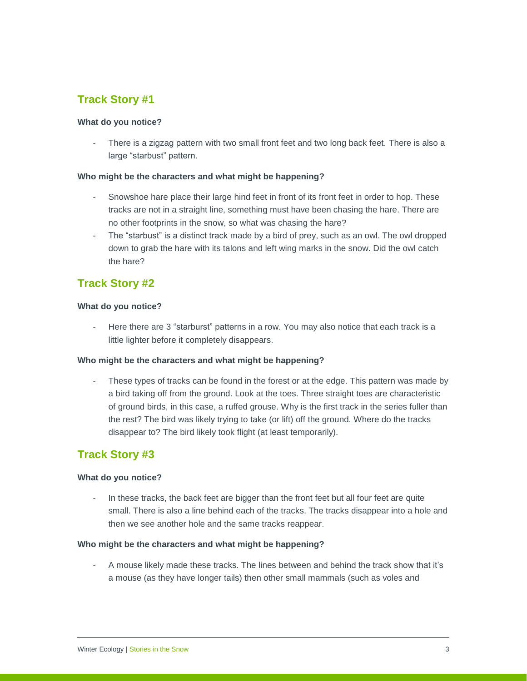## **Track Story #1**

#### **What do you notice?**

There is a zigzag pattern with two small front feet and two long back feet. There is also a large "starbust" pattern.

#### **Who might be the characters and what might be happening?**

- Snowshoe hare place their large hind feet in front of its front feet in order to hop. These tracks are not in a straight line, something must have been chasing the hare. There are no other footprints in the snow, so what was chasing the hare?
- The "starbust" is a distinct track made by a bird of prey, such as an owl. The owl dropped down to grab the hare with its talons and left wing marks in the snow. Did the owl catch the hare?

## **Track Story #2**

#### **What do you notice?**

Here there are 3 "starburst" patterns in a row. You may also notice that each track is a little lighter before it completely disappears.

#### **Who might be the characters and what might be happening?**

These types of tracks can be found in the forest or at the edge. This pattern was made by a bird taking off from the ground. Look at the toes. Three straight toes are characteristic of ground birds, in this case, a ruffed grouse. Why is the first track in the series fuller than the rest? The bird was likely trying to take (or lift) off the ground. Where do the tracks disappear to? The bird likely took flight (at least temporarily).

## **Track Story #3**

#### **What do you notice?**

In these tracks, the back feet are bigger than the front feet but all four feet are quite small. There is also a line behind each of the tracks. The tracks disappear into a hole and then we see another hole and the same tracks reappear.

#### **Who might be the characters and what might be happening?**

- A mouse likely made these tracks. The lines between and behind the track show that it's a mouse (as they have longer tails) then other small mammals (such as voles and